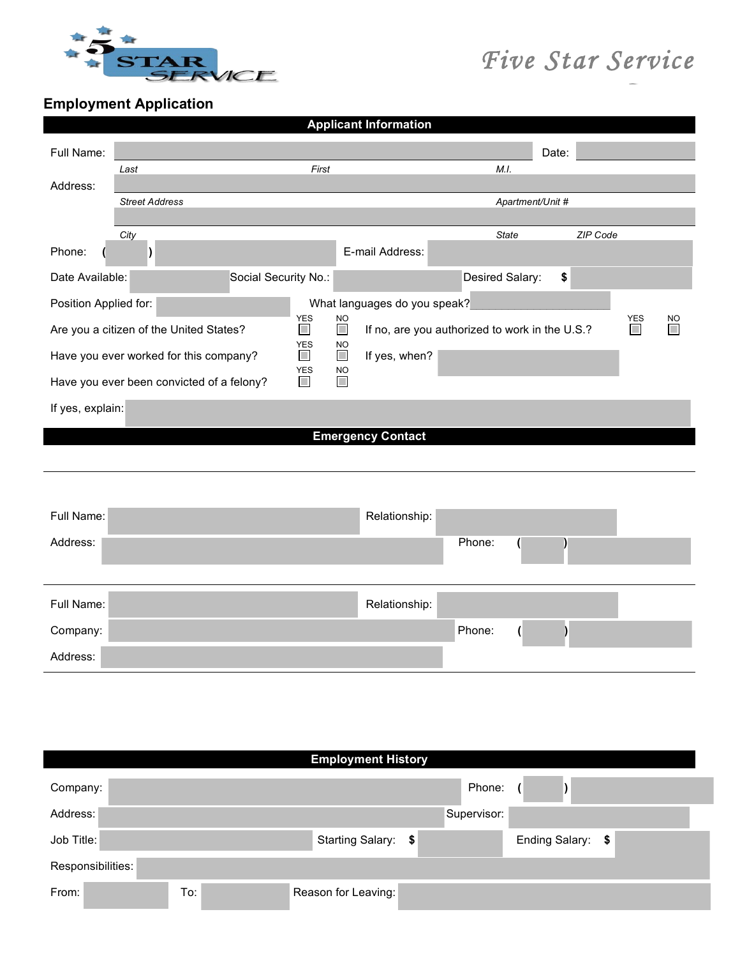

## *Five Star Service*

*Group* 

**Employment Application** 

| <b>Applicant Information</b>              |                                             |                                                |                  |                      |           |
|-------------------------------------------|---------------------------------------------|------------------------------------------------|------------------|----------------------|-----------|
| Full Name:                                |                                             |                                                | Date:            |                      |           |
| Last                                      | First                                       | M.I.                                           |                  |                      |           |
| Address:                                  |                                             |                                                |                  |                      |           |
| <b>Street Address</b>                     |                                             |                                                | Apartment/Unit # |                      |           |
| City                                      |                                             |                                                | <b>State</b>     | ZIP Code             |           |
| Phone:<br>$\mathcal{L}$                   |                                             | E-mail Address:                                |                  |                      |           |
| Date Available:                           | Social Security No.:                        | Desired Salary:                                | \$               |                      |           |
| Position Applied for:                     |                                             | What languages do you speak?                   |                  |                      |           |
| Are you a citizen of the United States?   | <b>YES</b><br><b>NO</b><br>$\Box$<br>$\Box$ | If no, are you authorized to work in the U.S.? |                  | <b>YES</b><br>$\Box$ | <b>NO</b> |
| Have you ever worked for this company?    | <b>YES</b><br><b>NO</b><br>$\Box$<br>П      | If yes, when?                                  |                  |                      |           |
| Have you ever been convicted of a felony? | YES<br><b>NO</b><br>$\Box$<br>$\Box$        |                                                |                  |                      |           |
| If yes, explain:                          |                                             |                                                |                  |                      |           |
|                                           |                                             | <b>Emergency Contact</b>                       |                  |                      |           |
|                                           |                                             |                                                |                  |                      |           |
|                                           |                                             |                                                |                  |                      |           |
| Full Name:                                |                                             | Relationship:                                  |                  |                      |           |
| Address:                                  |                                             | Phone:                                         |                  |                      |           |
|                                           |                                             |                                                |                  |                      |           |
| Full Name:                                |                                             | Relationship:                                  |                  |                      |           |
| Company:                                  |                                             | Phone:                                         |                  |                      |           |
| Address:                                  |                                             |                                                |                  |                      |           |
|                                           |                                             |                                                |                  |                      |           |

|                   |     | <b>Employment History</b> |             |                   |  |
|-------------------|-----|---------------------------|-------------|-------------------|--|
| Company:          |     |                           | Phone:      |                   |  |
| Address:          |     |                           | Supervisor: |                   |  |
| Job Title:        |     | Starting Salary: \$       |             | Ending Salary: \$ |  |
| Responsibilities: |     |                           |             |                   |  |
| From:             | To: | Reason for Leaving:       |             |                   |  |